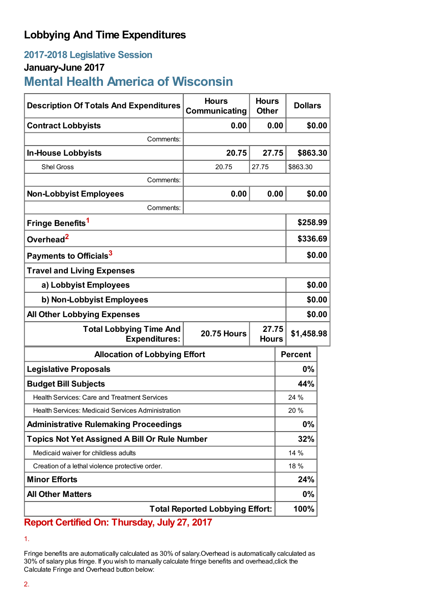## **Lobbying And Time Expenditures**

# **2017-2018 Legislative Session**

## **January-June 2017**

# **Mental Health America of Wisconsin**

| <b>Description Of Totals And Expenditures</b>          | <b>Hours</b><br>Communicating | <b>Hours</b><br><b>Other</b> | <b>Dollars</b> |          |  |
|--------------------------------------------------------|-------------------------------|------------------------------|----------------|----------|--|
| <b>Contract Lobbyists</b>                              | 0.00                          | 0.00                         |                | \$0.00   |  |
| Comments:                                              |                               |                              |                |          |  |
| <b>In-House Lobbyists</b>                              | 20.75                         | 27.75                        |                | \$863.30 |  |
| <b>Shel Gross</b>                                      | 20.75                         | 27.75                        | \$863.30       |          |  |
| Comments:                                              |                               |                              |                |          |  |
| <b>Non-Lobbyist Employees</b>                          | 0.00                          | 0.00                         |                | \$0.00   |  |
| Comments:                                              |                               |                              |                |          |  |
| Fringe Benefits <sup>1</sup>                           |                               |                              | \$258.99       |          |  |
| Overhead <sup>2</sup>                                  |                               |                              | \$336.69       |          |  |
| Payments to Officials <sup>3</sup>                     |                               |                              |                | \$0.00   |  |
| <b>Travel and Living Expenses</b>                      |                               |                              |                |          |  |
| a) Lobbyist Employees                                  |                               |                              |                | \$0.00   |  |
| b) Non-Lobbyist Employees                              |                               |                              |                | \$0.00   |  |
| <b>All Other Lobbying Expenses</b>                     |                               |                              |                | \$0.00   |  |
| <b>Total Lobbying Time And</b><br><b>Expenditures:</b> | <b>20.75 Hours</b>            | 27.75<br><b>Hours</b>        | \$1,458.98     |          |  |
| <b>Allocation of Lobbying Effort</b>                   |                               |                              | <b>Percent</b> |          |  |
| <b>Legislative Proposals</b>                           |                               |                              | 0%             |          |  |
| <b>Budget Bill Subjects</b>                            |                               |                              | 44%            |          |  |
| <b>Health Services: Care and Treatment Services</b>    |                               |                              | 24 %           |          |  |
| Health Services: Medicaid Services Administration      |                               |                              | 20%            |          |  |
| <b>Administrative Rulemaking Proceedings</b>           |                               |                              | $0\%$          |          |  |
| <b>Topics Not Yet Assigned A Bill Or Rule Number</b>   |                               |                              | 32%            |          |  |
| Medicaid waiver for childless adults                   |                               |                              | 14 %           |          |  |
| Creation of a lethal violence protective order.        |                               |                              | 18 %           |          |  |
| <b>Minor Efforts</b>                                   |                               |                              | 24%            |          |  |
| <b>All Other Matters</b>                               |                               |                              | 0%             |          |  |
| <b>Total Reported Lobbying Effort:</b>                 |                               |                              | 100%           |          |  |

### **Report Certified On: Thursday, July 27, 2017**

Fringe benefits are automatically calculated as 30% of salary.Overhead is automatically calculated as 30% of salary plus fringe. If you wish to manually calculate fringe benefits and overhead,click the Calculate Fringe and Overhead button below:

<sup>1.</sup>